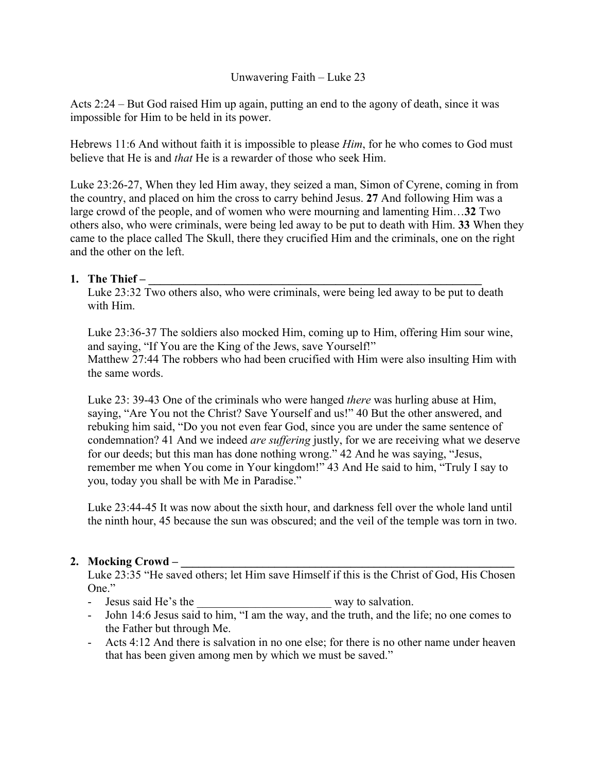## Unwavering Faith – Luke 23

Acts 2:24 – But God raised Him up again, putting an end to the agony of death, since it was impossible for Him to be held in its power.

Hebrews 11:6 And without faith it is impossible to please *Him*, for he who comes to God must believe that He is and *that* He is a rewarder of those who seek Him.

Luke 23:26-27, When they led Him away, they seized a man, Simon of Cyrene, coming in from the country, and placed on him the cross to carry behind Jesus. **27** And following Him was a large crowd of the people, and of women who were mourning and lamenting Him…**32** Two others also, who were criminals, were being led away to be put to death with Him. **33** When they came to the place called The Skull, there they crucified Him and the criminals, one on the right and the other on the left.

## **1. The Thief – \_\_\_\_\_\_\_\_\_\_\_\_\_\_\_\_\_\_\_\_\_\_\_\_\_\_\_\_\_\_\_\_\_\_\_\_\_\_\_\_\_\_\_\_\_\_\_\_\_\_\_\_\_\_\_\_\_**

Luke 23:32 Two others also, who were criminals, were being led away to be put to death with Him.

Luke 23:36-37 The soldiers also mocked Him, coming up to Him, offering Him sour wine, and saying, "If You are the King of the Jews, save Yourself!" Matthew 27:44 The robbers who had been crucified with Him were also insulting Him with the same words.

Luke 23: 39-43 One of the criminals who were hanged *there* was hurling abuse at Him, saying, "Are You not the Christ? Save Yourself and us!" 40 But the other answered, and rebuking him said, "Do you not even fear God, since you are under the same sentence of condemnation? 41 And we indeed *are suffering* justly, for we are receiving what we deserve for our deeds; but this man has done nothing wrong." 42 And he was saying, "Jesus, remember me when You come in Your kingdom!" 43 And He said to him, "Truly I say to you, today you shall be with Me in Paradise."

Luke 23:44-45 It was now about the sixth hour, and darkness fell over the whole land until the ninth hour, 45 because the sun was obscured; and the veil of the temple was torn in two.

#### **2. Mocking Crowd – \_\_\_\_\_\_\_\_\_\_\_\_\_\_\_\_\_\_\_\_\_\_\_\_\_\_\_\_\_\_\_\_\_\_\_\_\_\_\_\_\_\_\_\_\_\_\_\_\_\_\_\_\_\_\_\_\_**

Luke 23:35 "He saved others; let Him save Himself if this is the Christ of God, His Chosen One."

- Jesus said He's the way to salvation.
- John 14:6 Jesus said to him, "I am the way, and the truth, and the life; no one comes to the Father but through Me.
- Acts 4:12 And there is salvation in no one else; for there is no other name under heaven that has been given among men by which we must be saved."